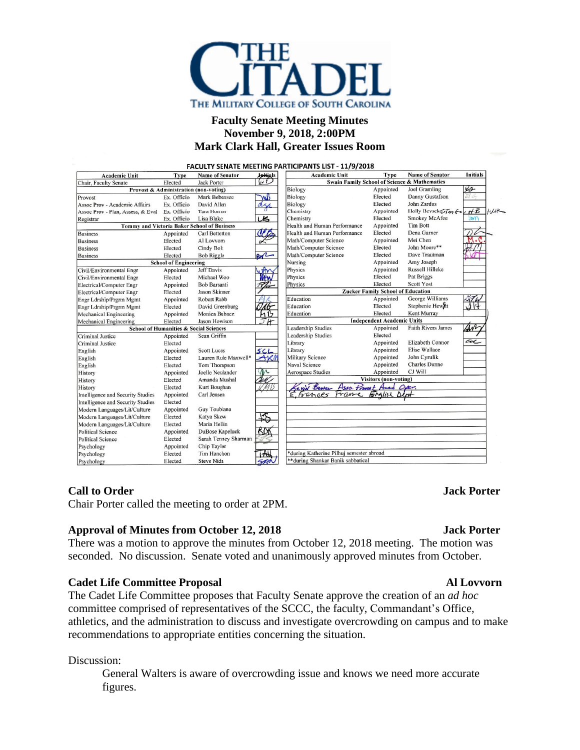

## **Faculty Senate Meeting Minutes November 9, 2018, 2:00PM Mark Clark Hall, Greater Issues Room**

| <b>Academic Unit</b>                               | Type                                  | <b>Name of Senator</b> | <b>Juitials</b>           | <b>Academic Unit</b>                         | Type                      | <b>Name of Senator</b>  | <b>Initials</b>  |
|----------------------------------------------------|---------------------------------------|------------------------|---------------------------|----------------------------------------------|---------------------------|-------------------------|------------------|
| Chair, Faculty Senate                              | Elected                               | <b>Jack Porter</b>     | ا زبا                     | Swain Family School of Science & Mathematics |                           |                         |                  |
|                                                    | Provost & Administration (non-voting) |                        |                           | Biology                                      | Appointed                 | Joel Gramling           | s                |
| Provost                                            | Ex. Officio                           | Mark Bebensee          | WW                        | Biology                                      | Elected                   | Danny Gustafson         | IT 4             |
| Assoc Prov - Academic Affairs                      | Ex. Officio                           | David Allen            | ass                       | Biology                                      | Elected                   | John Zardus             |                  |
| Assoc Prov - Plan, Assess, & Eval Ex. Officio      |                                       | <b>Tara Hornor</b>     |                           | Chemistry                                    | Appointed                 | Holly Bevsek 5Tm fo HB  |                  |
| Registrar                                          | Ex. Officio                           | Lisa Blake             | US                        | Chemistry                                    | Elected                   | <b>Smokey McAfee</b>    | $\sum_{i=1}^{n}$ |
| <b>Tommy and Victoria Baker School of Business</b> |                                       |                        |                           | Health and Human Performance                 | Appointed                 | <b>Tim Bott</b>         |                  |
| <b>Business</b>                                    | Appointed                             | Carl Betterton         |                           | Health and Human Performance                 | Elected                   | Dena Garner             |                  |
| <b>Business</b>                                    | Elected                               | Al Lovvorn             |                           | Math/Computer Science                        | Appointed                 | Mei Chen                |                  |
| <b>Business</b>                                    | Elected                               | Cindy Bolt             |                           | Math/Computer Science                        | Elected                   | John Moore**            |                  |
| <b>Business</b>                                    | Elected                               | <b>Bob Riggle</b>      | BR                        | Math/Computer Science                        | Elected                   | Dave Trautman           |                  |
| <b>School of Engineering</b>                       |                                       |                        |                           | Nursing                                      | Appointed                 | Amy Joseph              |                  |
| Civil/Environmental Engr                           | Appointed                             | <b>Jeff Davis</b>      | 4th                       | Physics                                      | Appointed                 | Russell Hilleke         |                  |
| Civil/Environmental Engr                           | Elected                               | Michael Woo            | <b>When</b>               | Physics                                      | Elected                   | Pat Briggs              |                  |
| Electrical/Computer Engr                           | Appointed                             | <b>Bob Barsanti</b>    |                           | Physics                                      | Elected                   | Scott Yost              |                  |
| Electrical/Computer Engr                           | Elected                               | Jason Skinner          |                           | <b>Zucker Family School of Education</b>     |                           |                         |                  |
| Engr Ldrship/Prgrm Mgmt                            | Appointed                             | Robert Rabb            |                           | Education                                    | Appointed                 | George Williams         |                  |
| Engr Ldrship/Prgrm Mgmt                            | Elected                               | David Greenburg        |                           | Education                                    | Elected                   | Stephenie Hewitt        |                  |
| Mechanical Engineering                             | Appointed                             | Monica Bubacz          |                           | Education                                    | Elected                   | Kent Murray             |                  |
| <b>Mechanical Engineering</b>                      | Elected                               | Jason Howison          | JΉ                        | <b>Independent Academic Units</b>            |                           |                         |                  |
| <b>School of Humanities &amp; Social Sciences</b>  |                                       |                        | <b>Leadership Studies</b> | Appointed                                    | <b>Faith Rivers James</b> | AN                      |                  |
| <b>Criminal Justice</b>                            | Appointed                             | Sean Griffin           |                           | <b>Leadership Studies</b>                    | Elected                   |                         |                  |
| <b>Criminal Justice</b>                            | Elected                               |                        |                           | Library                                      | Appointed                 | <b>Elizabeth Connor</b> | al               |
| English                                            | Appointed                             | <b>Scott Lucas</b>     | SCL                       | Library                                      | Appointed                 | <b>Elise Wallace</b>    |                  |
| English                                            | Elected                               | Lauren Rule Maxwell*   | AKM                       | Military Science                             | Appointed                 | John Cyrulik            |                  |
| English                                            | Elected                               | Tom Thompson           |                           | Naval Science                                | Appointed                 | <b>Charles Dunne</b>    |                  |
| History                                            | Appointed                             | Joelle Neulander       |                           | <b>Aerospace Studies</b>                     | Appointed                 | CJ Will                 |                  |
| History                                            | Elected                               | Amanda Mushal          |                           | <b>Visitors</b> (non-voting)                 |                           |                         |                  |
| History                                            | Elected                               | Kurt Boughan           |                           | evil Bower<br>Asso. Privat Acad              |                           | Oser.                   |                  |
| Intelligence and Security Studies                  | Appointed                             | Carl Jensen            |                           | E.Frances<br>rane                            | Englisi                   | $\Delta l$ <sub>r</sub> |                  |
| Intelligence and Security Studies                  | Elected                               |                        |                           |                                              |                           |                         |                  |
| Modern Languages/Lit/Culture                       | Appointed                             | Guy Toubiana           |                           |                                              |                           |                         |                  |
| Modern Languages/Lit/Culture                       | Elected                               | Katya Skow             |                           |                                              |                           |                         |                  |
| Modern Languages/Lit/Culture                       | Elected                               | Maria Hellin           |                           |                                              |                           |                         |                  |
| <b>Political Science</b>                           | Appointed                             | DuBose Kapeluck        | ßΜ                        |                                              |                           |                         |                  |
| <b>Political Science</b>                           | Elected                               | Sarah Tenney Sharman   |                           |                                              |                           |                         |                  |
| Psychology                                         | Appointed                             | Chip Taylor            |                           |                                              |                           |                         |                  |
| Psychology                                         | Elected                               | Tim Hanchon            |                           | *during Katherine Pilhuj semester abroad     |                           |                         |                  |
| Psychology                                         | Elected                               | <b>Steve Nida</b>      |                           | **during Shankar Banik sabbatical            |                           |                         |                  |

### **Call to Order Jack Porter**

Chair Porter called the meeting to order at 2PM.

### **Approval of Minutes from October 12, 2018 Jack Porter**

There was a motion to approve the minutes from October 12, 2018 meeting. The motion was seconded. No discussion. Senate voted and unanimously approved minutes from October.

### **Cadet Life Committee Proposal Al Lovvorn**

The Cadet Life Committee proposes that Faculty Senate approve the creation of an *ad hoc* committee comprised of representatives of the SCCC, the faculty, Commandant's Office, athletics, and the administration to discuss and investigate overcrowding on campus and to make recommendations to appropriate entities concerning the situation.

Discussion:

General Walters is aware of overcrowding issue and knows we need more accurate figures.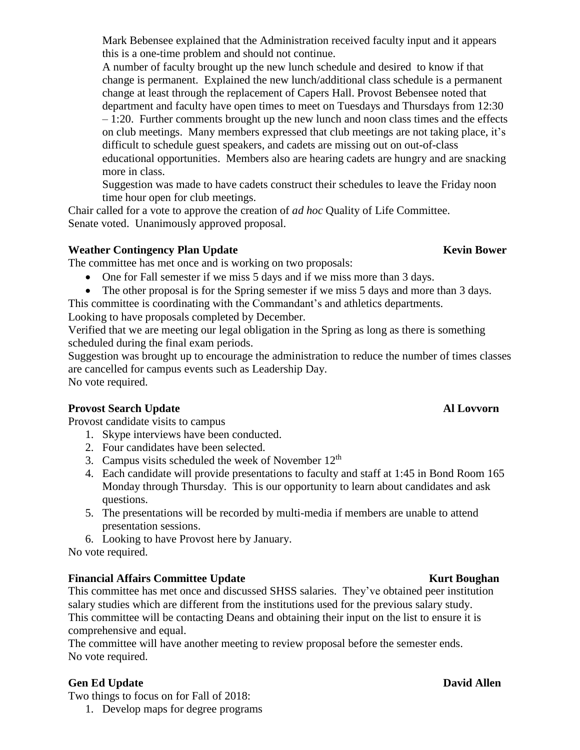Mark Bebensee explained that the Administration received faculty input and it appears this is a one-time problem and should not continue.

A number of faculty brought up the new lunch schedule and desired to know if that change is permanent. Explained the new lunch/additional class schedule is a permanent change at least through the replacement of Capers Hall. Provost Bebensee noted that department and faculty have open times to meet on Tuesdays and Thursdays from 12:30 – 1:20. Further comments brought up the new lunch and noon class times and the effects on club meetings. Many members expressed that club meetings are not taking place, it's difficult to schedule guest speakers, and cadets are missing out on out-of-class educational opportunities. Members also are hearing cadets are hungry and are snacking more in class.

Suggestion was made to have cadets construct their schedules to leave the Friday noon time hour open for club meetings.

Chair called for a vote to approve the creation of *ad hoc* Quality of Life Committee. Senate voted. Unanimously approved proposal.

# **Weather Contingency Plan Update Kevin Kevin Kevin Bower**

The committee has met once and is working on two proposals:

- One for Fall semester if we miss 5 days and if we miss more than 3 days.
- The other proposal is for the Spring semester if we miss 5 days and more than 3 days.

This committee is coordinating with the Commandant's and athletics departments.

Looking to have proposals completed by December.

Verified that we are meeting our legal obligation in the Spring as long as there is something scheduled during the final exam periods.

Suggestion was brought up to encourage the administration to reduce the number of times classes are cancelled for campus events such as Leadership Day. No vote required.

# **Provost Search Update Al Lovvorn**

Provost candidate visits to campus

- 1. Skype interviews have been conducted.
- 2. Four candidates have been selected.
- 3. Campus visits scheduled the week of November  $12<sup>th</sup>$
- 4. Each candidate will provide presentations to faculty and staff at 1:45 in Bond Room 165 Monday through Thursday. This is our opportunity to learn about candidates and ask questions.
- 5. The presentations will be recorded by multi-media if members are unable to attend presentation sessions.
- 6. Looking to have Provost here by January.

No vote required.

# **Financial Affairs Committee Update Kurt Kurt** Boughan

This committee has met once and discussed SHSS salaries. They've obtained peer institution salary studies which are different from the institutions used for the previous salary study. This committee will be contacting Deans and obtaining their input on the list to ensure it is comprehensive and equal.

The committee will have another meeting to review proposal before the semester ends. No vote required.

# **Gen Ed Update David Allen**

Two things to focus on for Fall of 2018: 1. Develop maps for degree programs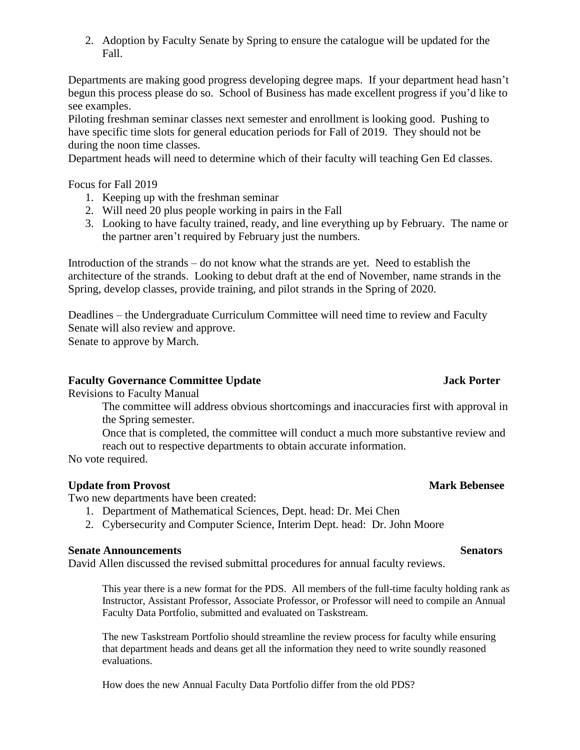2. Adoption by Faculty Senate by Spring to ensure the catalogue will be updated for the Fall.

Departments are making good progress developing degree maps. If your department head hasn't begun this process please do so. School of Business has made excellent progress if you'd like to see examples.

Piloting freshman seminar classes next semester and enrollment is looking good. Pushing to have specific time slots for general education periods for Fall of 2019. They should not be during the noon time classes.

Department heads will need to determine which of their faculty will teaching Gen Ed classes.

Focus for Fall 2019

- 1. Keeping up with the freshman seminar
- 2. Will need 20 plus people working in pairs in the Fall
- 3. Looking to have faculty trained, ready, and line everything up by February. The name or the partner aren't required by February just the numbers.

Introduction of the strands – do not know what the strands are yet. Need to establish the architecture of the strands. Looking to debut draft at the end of November, name strands in the Spring, develop classes, provide training, and pilot strands in the Spring of 2020.

Deadlines – the Undergraduate Curriculum Committee will need time to review and Faculty Senate will also review and approve. Senate to approve by March.

### **Faculty Governance Committee Update Jack Porter**

Revisions to Faculty Manual

The committee will address obvious shortcomings and inaccuracies first with approval in the Spring semester.

Once that is completed, the committee will conduct a much more substantive review and reach out to respective departments to obtain accurate information.

No vote required.

### **Update from Provost** Mark Bebensee

Two new departments have been created:

- 1. Department of Mathematical Sciences, Dept. head: Dr. Mei Chen
- 2. Cybersecurity and Computer Science, Interim Dept. head: Dr. John Moore

### **Senate Announcements** Senators

David Allen discussed the revised submittal procedures for annual faculty reviews.

This year there is a new format for the PDS. All members of the full-time faculty holding rank as Instructor, Assistant Professor, Associate Professor, or Professor will need to compile an Annual Faculty Data Portfolio, submitted and evaluated on Taskstream.

The new Taskstream Portfolio should streamline the review process for faculty while ensuring that department heads and deans get all the information they need to write soundly reasoned evaluations.

How does the new Annual Faculty Data Portfolio differ from the old PDS?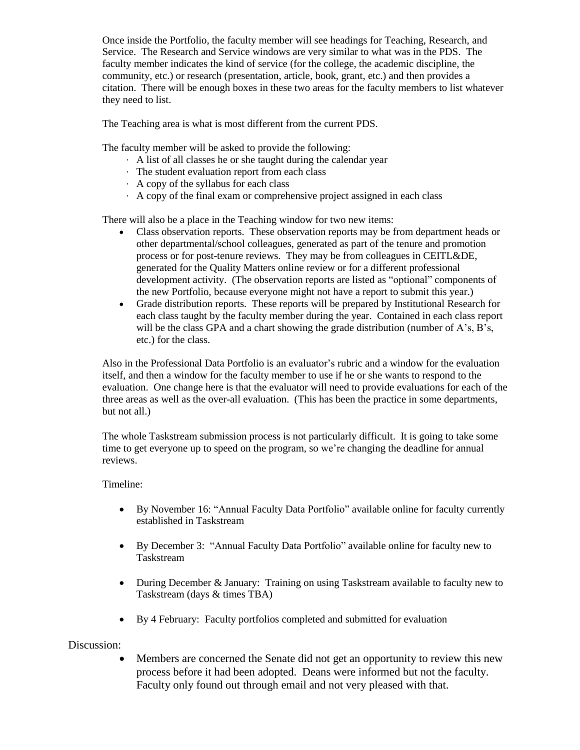Once inside the Portfolio, the faculty member will see headings for Teaching, Research, and Service. The Research and Service windows are very similar to what was in the PDS. The faculty member indicates the kind of service (for the college, the academic discipline, the community, etc.) or research (presentation, article, book, grant, etc.) and then provides a citation. There will be enough boxes in these two areas for the faculty members to list whatever they need to list.

The Teaching area is what is most different from the current PDS.

The faculty member will be asked to provide the following:

- · A list of all classes he or she taught during the calendar year
- · The student evaluation report from each class
- · A copy of the syllabus for each class
- · A copy of the final exam or comprehensive project assigned in each class

There will also be a place in the Teaching window for two new items:

- Class observation reports. These observation reports may be from department heads or other departmental/school colleagues, generated as part of the tenure and promotion process or for post-tenure reviews. They may be from colleagues in CEITL&DE, generated for the Quality Matters online review or for a different professional development activity. (The observation reports are listed as "optional" components of the new Portfolio, because everyone might not have a report to submit this year.)
- Grade distribution reports. These reports will be prepared by Institutional Research for each class taught by the faculty member during the year. Contained in each class report will be the class GPA and a chart showing the grade distribution (number of A's, B's, etc.) for the class.

Also in the Professional Data Portfolio is an evaluator's rubric and a window for the evaluation itself, and then a window for the faculty member to use if he or she wants to respond to the evaluation. One change here is that the evaluator will need to provide evaluations for each of the three areas as well as the over-all evaluation. (This has been the practice in some departments, but not all.)

The whole Taskstream submission process is not particularly difficult. It is going to take some time to get everyone up to speed on the program, so we're changing the deadline for annual reviews.

#### Timeline:

- By November 16: "Annual Faculty Data Portfolio" available online for faculty currently established in Taskstream
- By December 3: "Annual Faculty Data Portfolio" available online for faculty new to Taskstream
- During December & January: Training on using Taskstream available to faculty new to Taskstream (days & times TBA)
- By 4 February: Faculty portfolios completed and submitted for evaluation

#### Discussion:

 Members are concerned the Senate did not get an opportunity to review this new process before it had been adopted. Deans were informed but not the faculty. Faculty only found out through email and not very pleased with that.